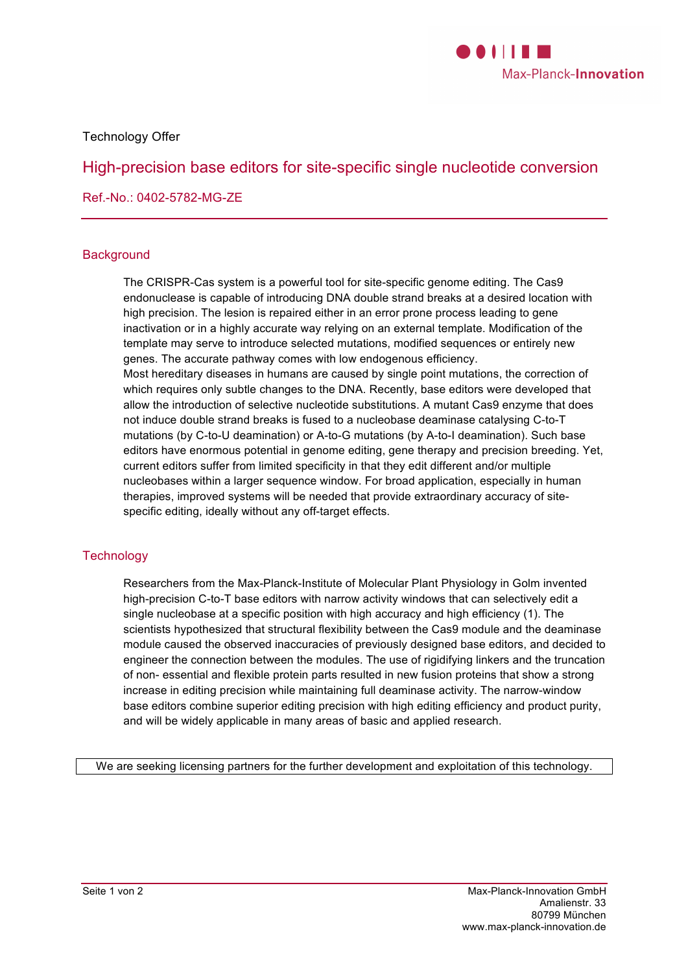

Technology Offer

# High-precision base editors for site-specific single nucleotide conversion

Ref.-No.: 0402-5782-MG-ZE

### **Background**

The CRISPR-Cas system is a powerful tool for site-specific genome editing. The Cas9 endonuclease is capable of introducing DNA double strand breaks at a desired location with high precision. The lesion is repaired either in an error prone process leading to gene inactivation or in a highly accurate way relying on an external template. Modification of the template may serve to introduce selected mutations, modified sequences or entirely new genes. The accurate pathway comes with low endogenous efficiency. Most hereditary diseases in humans are caused by single point mutations, the correction of which requires only subtle changes to the DNA. Recently, base editors were developed that allow the introduction of selective nucleotide substitutions. A mutant Cas9 enzyme that does not induce double strand breaks is fused to a nucleobase deaminase catalysing C-to-T mutations (by C-to-U deamination) or A-to-G mutations (by A-to-I deamination). Such base editors have enormous potential in genome editing, gene therapy and precision breeding. Yet, current editors suffer from limited specificity in that they edit different and/or multiple nucleobases within a larger sequence window. For broad application, especially in human therapies, improved systems will be needed that provide extraordinary accuracy of sitespecific editing, ideally without any off-target effects.

## **Technology**

Researchers from the Max-Planck-Institute of Molecular Plant Physiology in Golm invented high-precision C-to-T base editors with narrow activity windows that can selectively edit a single nucleobase at a specific position with high accuracy and high efficiency (1). The scientists hypothesized that structural flexibility between the Cas9 module and the deaminase module caused the observed inaccuracies of previously designed base editors, and decided to engineer the connection between the modules. The use of rigidifying linkers and the truncation of non- essential and flexible protein parts resulted in new fusion proteins that show a strong increase in editing precision while maintaining full deaminase activity. The narrow-window base editors combine superior editing precision with high editing efficiency and product purity, and will be widely applicable in many areas of basic and applied research.

We are seeking licensing partners for the further development and exploitation of this technology.